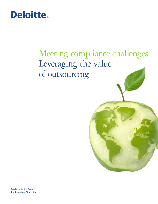

# Meeting compliance challenges Leveraging the value of outsourcing

**Produced by the Center for Regulatory Strategies**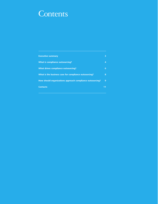### **Contents**

| <b>Executive summary</b>                                  | 3  |
|-----------------------------------------------------------|----|
| What is compliance outsourcing?                           | 4  |
| What drives compliance outsourcing?                       | 6  |
| What is the business case for compliance outsourcing?     | 8  |
| How should organizations approach compliance outsourcing? | 9  |
| <b>Contacts</b>                                           | 11 |
|                                                           |    |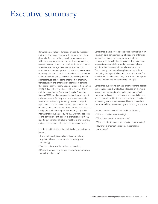### Executive summary

Demands on compliance functions are rapidly increasing, and so are the risks associated with failing to meet these demands. An organization's risks for non-compliance with regulatory requirements can result in legal sanctions, consent decrees, prosecution, liability suits, failed business strategies, and damage to reputation and brand. In extreme cases, non-compliance can threaten the existence of the organization. Compliance mandates can come from various regulatory bodies. Recently the banking and life sciences industries have come under particular scrutiny from regulatory and enforcement agencies. In banking, the Federal Reserve, Federal Deposit Insurance Corporation (FDIC), Office of the Comptroller of the Currency (OCC), and the newly-formed Consumer Financial Protection Bureau (CFPB) have been very active in rule development and enforcement. Similarly, the life sciences industry has faced additional scrutiny, including new U.S. and global regulations and enforcement by the Office of Inspector General (OIG), Centers for Medicare and Medicaid Services (CMS), the Food and Drug Administration (FDA) and its international equivalents (e.g., MHRA, EMA) in areas such as anti-corruption / anti-bribery in promotional practices, reporting of transfers of value to healthcare professionals, and new post-market safety surveillance requirements.

In order to mitigate these risks holistically, companies may have to:

- 1. Invest extensively in compliance talent, regulatory experts, training, process excellence, quality, and technology
- 2. Seek an outside solution such as outsourcing
- 3. Design a program that combines these two approaches (selective outsourcing)

Compliance is not a revenue generating business function. However, it is a core component of managing enterprise risk and successfully executing business strategies. Hence, due to the extent of compliance demands, many organizations maintain large and growing compliance functions that increase their overall operational costs. The increasing number and complexity of regulations, continuing shortage of talent, and constant pressure from shareholders to reduce operating costs makes this a good time to consider alternative sourcing strategies.

Compliance outsourcing can help organizations to address compliance demands while staying focused on their core business functions and go-to-market strategies. Chief compliance officers, chief financial officers, and chief risk officers should consider the potential value of compliance outsourcing to the organization and how it can address compliance challenges at country-specific and global levels.

Specific questions to consider include the following:

- What is compliance outsourcing?
- What drives compliance outsourcing?
- What is the business case for compliance outsourcing?
- How should organizations approach compliance outsourcing?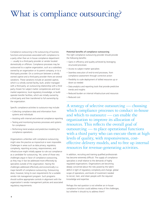# What is compliance outsourcing?

Compliance outsourcing is the outsourcing of business functions and processes associated with compliance to a party other than an in-house compliance department — usually to a third-party provider or vendor located domestically or offshore. Compliance processes may be outsourced to a captive organization, such as a subsidiary owned by an organization or its parent company, or to a third-party provider. On a continuum between a wholly owned captive and a third-party provider there are several variations. These variations include an assisted captive, which is a wholly owned facility, built, and/or managed with a third party; an outsourcing relationship with a third party chosen for subject matter competencies and local market experience, local regulatory knowledge; or buildoperate-transfer facilities, which are initially owned by a third party and then transferred to full ownership by the organization.

Specific compliance activities to outsource may include:

• Collecting compliance data and information from systems and individuals

for compliance

- • Assisting with internal and external compliance reporting
- Testing and monitoring business processes and systems
- • Performing trend analysis and predictive modeling for compliance operations

Organizations unfamiliar with compliance outsourcing might view the practice as impractical or even impossible. Challenges in areas such as data privacy, regulatory complexity, reporting accuracy, responsiveness, and infrastructure might initially appear to rule out compliance as a candidate for outsourcing. Yet, some of those very challenges argue in favor of compliance outsourcing, as they may in fact be addressed more effectively by specialists outside of the organization. Having the challenges addressed effectively and economically is a major benefit of compliance outsourcing. Outsourcing does, however, bring its own requirements for a suitable vendor risk management program. Such programs should outline appropriate controls in alignment with the organization's vendor management policies and associated regulatory requirements.

#### Potential benefits of compliance outsourcing

The right compliance outsourcing provider should provide the following benefits:

- Gains in efficiency and quality achieved by leveraging structured processes
- • Access to subject matter specialists
- • Seamless execution of end-to-end processes, from compliance assessment through corrective action
- Flexibility to scale deployment of skilled resources up or down as needed
- Data analytics and reporting tools that provide predictive trends and insights
- Reduced burden on internal infrastructure and resources
- • Reduced cost

A strategy of selective outsourcing — choosing which compliance processes to conduct in-house and which to outsource — can enable the organization to improve its allocation of resources. This reflects the overall goal of outsourcing — to place operational functions with a third party who can execute them at high levels of quality, with responsiveness, costeffective delivery models, and to free up internal resources for revenue-generating activities.

In addition, recruiting and training qualified professionals has become extremely difficult. The supply of compliance specialists is small relative to the demands of highly regulated organizations. Organizations are becoming deeply concerned about the risks posed by the talent deficit in light of regulatory complexity and change, global scope of operations, and levels of investment needed to recruit, train, and retain people with the required knowledge and expertise.

Perhaps the real question is not whether an in-house compliance function could address many of the challenges, but whether it should try to address them?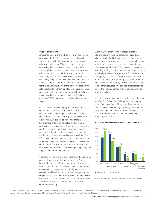#### Types of outsourcing

Compliance outsourcing is a type of knowledge process outsourcing (KPO), which in the past several years has joined its long-established counterparts — information technology outsourcing (ITO) and business process outsourcing (BPO) — as an accepted practice. KPO activities tend to be more complex than those associated with ITO and BPO. KPO calls for the application of knowledge, such as industry knowledge, understanding of regulations, compliance frameworks, valuation, actuarial experience, and data analytics to generate knowledgeintensive deliverables. Some of the key deliverables in the highly regulated healthcare and financial industries include, but are not limited to: compliance reports for regulatory filings, clinical research, Financial Industry Regulatory Authority (FINRA) reporting, and credit and investment analysis.

A KPO provider can yield high-quality results to an organization, particularly in an area as complex as regulatory compliance. Organizations should clearly understand the KPO providers' capabilities, experience, culture, values, and ability to work with them as their extended enterprise. To realize the full value of outsourcing, a cost-benefit analysis should be conducted prior to selecting the outsourcing provider. It should cover the full duration of the outsourcing contract and establish applicable service level agreements (SLAs). The KPO provider can generate reports and other information for regulatory and compliance submissions. However, the organization remains accountable — as it would for any outsourcing arrangement — for meeting its regulatory and compliance reporting requirements.

In general, properly planned and implemented outsourcing provides strategic as well as tactical benefits. Among these are the potential to generate positive structural change — or even transformation — in the organization by encouraging management to identify, analyze, and rationalize activities from both cost and value generating perspectives. On that basis, management can then decide which core and non-core operational and non-operational activities to execute in-house and which to execute through outsourcing.

Over time, the organization can foster strategic relationships with the right outsourcing providers, relationships that add strategic value — that is, value beyond simple provision of services. For example, providers of outsourced services can encourage innovation and increase competitiveness. They can do so not only by providing leading practices in their areas of specialization, but also by enabling management to focus on the true strategic agenda of the enterprise. Management can do this because outsourcing frees up executives' attention and "intellectual bandwidth," as well as financial, human, IT, and other resources. This can also enable leaders to pursue the strategic agenda more vigorously and with fewer distractions.

In addition, outsourcing provides well-documented cost benefits. The *Deloitte 2012 Global Outsourcing and Insourcing Survey* found 57 percent of respondents — 111 companies representing 22 primary industries with \$1 billion to \$5 billion median revenue — achieved cost savings of more than 10 percent and only 6 percent experienced increased costs.<sup>1</sup>

#### **Anticipated and achieved cost reductions due to outsourcing**



Source: Deloitte 2012 Global Outsourcing and Insourcing Survey

As used in this document, "Deloitte" means Deloitte LLP and its subsidiaries. Please see www.deloitte.com/us/about for a detailed description of the legal structure of Deloitte LLP and its subsidiaries. Certain services may not be available to attest clients under the rules and regulations of public accounting.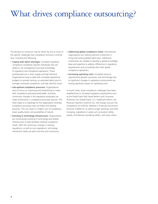# What drives compliance outsourcing?

The decision to outsource may be driven by one or more of the specific challenges that compliance functions currently face, including the following:

- Coping with talent shortages: Increased regulatory compliance complexity requires individuals who are skilled in risk management and have knowledge of regulatory and compliance operations. These professionals are in short supply and high demand. Organizations have to deal with increased operational budgets to provide training, an extended talent pool to manage continued compliance, and high attrition issues.
- Sub-optimal compliance processes: Organizations want to focus on improving and streamlining to make their compliance processes predictable. However, continuous changes in the regulatory landscape can make investments in compliance processes reactive. This often leads to a challenge for the organization whereby compliance processes may not follow the leading practices. This can result in a higher cost of compliance, lower quality levels, and possibilities of rework.
- Investing in technology infrastructure: Organizations are continuously investing in technology and related infrastructure to help facilitate meeting compliance needs. With the continuous changes in existing regulations, as well as new regulations, technology investment needs are both one-time and continuous.
- Addressing global compliance needs: International organizations are making extensive investment in hiring and training global talent pool. Additional investments are needed to develop a global knowledge base and expertise to address differences in regulatory requirements and successfully drive their global compliance operations.
- Increasing operating costs: Increased resource requirements (people, processes, and technology) due to significant changes in regulatory environments are having significant impact on operating costs.

In recent times, these compliance challenges have been amplified due to increased regulatory requirements such as the Dodd-Frank Wall Street Reform and Consumer Protection Act (Dodd-Frank), U.S. healthcare reform, the Physician Payment Sunshine Act, the Foreign Account Tax Compliance Act (FATCA), Markets in Financial Instruments Directive II (MiFID II), as well as longer standing, and often changing, regulations in areas such as product safety, quality, Anti-Money Laundering (AML), and many others.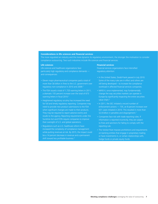#### **Considerations in life sciences and financial services**

The more regulated an industry and the more dynamic its regulatory environment, the stronger the motivation to consider compliance outsourcing. Two such industries include life sciences and financial services.

#### **Life sciences**

Life sciences and healthcare organizations face particularly high regulatory and compliance demands and consequences:

- Eleven major pharmaceutical companies paid a total of more than \$6 billion in fines to the U.S. government over regulatory non-compliance in 2010 and 2009.2
- The FDA issued a total of 1,720 warning letters in 2011, a dramatic 155 percent increase over the total of 673 warning letters in fiscal 2010.3
- Heightened regulatory scrutiny has increased the need for full and timely regulatory reporting. Companies may need to provide new product submissions to the FDA when significant changes are made to their products. They may be required to report adverse events and recalls to the agency. Reporting requirements under the Sunshine Act and FCPA require companies to improve their oversight of U.S. and global operations.
- Regulations such as U.S. healthcare reform have increased the complexity of compliance management while putting revenues at risk. By 2015, the impact could be a 14 percent decrease in revenue and a permanent shift toward less profitable business.4

#### **Financial services**

Financial services organizations face intensified regulatory attention:

- In the United States, Dodd-Frank passed in July 2010. still being developed – to increase the compliance workload in affected financial services companies.
- MiFID II, once implemented, may fundamentally change the way securities markets can operate in Europe by significantly impacting the entire securities value chain.<sup>5</sup>
- In 2011, the SEC initiated a record number of enforcement actions — 735, an 8 percent increase over 631 cases initiated in 2010. This resulted in more than \$2.8 billion in penalties and disgorgement.<sup>7</sup>
- Companies face risk with trade reporting rules. If information is reported incorrectly, they are subject to fines and sanctions for failing to comply with the reporting rule.
- The Volcker Rule imposes prohibitions and requirements on banking entities that engage in proprietary trading or have investments in, or certain relationships with, hedge funds or private equity funds.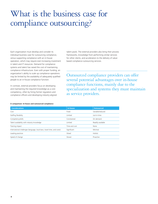### What is the business case for compliance outsourcing?

Each organization must develop and consider its individual business case for outsourcing compliance, versus supporting compliance with an in-house operation, which may require ever-increasing investment in talent and IT resources. Demand for compliance systems and talent has raised the cost of maintaining compliance infrastructure. Even with proper funding, an organization's ability to scale up compliance operations may be limited by the availability of adequately qualified people to an in-house compliance function.

In contrast, external providers focus on developing and maintaining the required knowledge as a core competency, often by hiring former regulators and compliance officers and developing industry-aligned talent pools. The external providers also bring their process frameworks, knowledge from performing similar services for other clients, and accelerators to the delivery of valuebased compliance outsourcing services.

Outsourced compliance providers can offer several potential advantages over in-house compliance functions, mainly due to the specialization and systems they must maintain as service providers.

| <b>Considerations</b>                                                   | In-house       | <b>Outsourced</b> |
|-------------------------------------------------------------------------|----------------|-------------------|
| Cost                                                                    | Fixed          | Variable/reduced  |
| Staffing flexibility                                                    | <b>Limited</b> | Just-in-time      |
| Competency/skills                                                       | Constrained    | On demand         |
| Talent availability with industry knowledge                             | <b>Limited</b> | Readily available |
| Training impact                                                         | Time and cost  | None              |
| International challenges (language, local laws, travel time, and costs) | Significant    | Minimal           |
| Leading practices                                                       | Siloed         | Holistic          |
| Speed of change                                                         | Slower         | Proactive         |
|                                                                         |                |                   |

#### **A comparison: In-house and outsourced compliance**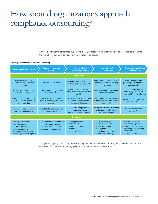### How should organizations approach compliance outsourcing?

A strategic approach to compliance outsourcing is likely to produce high-quality results. The following table presents a strategic, phased approach to implementing compliance outsourcing:

#### **A strategic approach to compliance outsourcing**

| Create an outsourcing strategy                                                                                                                             | Select an outsourcing<br>provider                                                                                                 | Plan transition of<br>outsourced processes                                                         | <b>Transition and</b><br>operationalize                                                                                                               | <b>Conduct ongoing testing</b><br>and analytics                                                                                                                  |  |
|------------------------------------------------------------------------------------------------------------------------------------------------------------|-----------------------------------------------------------------------------------------------------------------------------------|----------------------------------------------------------------------------------------------------|-------------------------------------------------------------------------------------------------------------------------------------------------------|------------------------------------------------------------------------------------------------------------------------------------------------------------------|--|
| <b>Key activities</b>                                                                                                                                      |                                                                                                                                   |                                                                                                    |                                                                                                                                                       |                                                                                                                                                                  |  |
| Develop master list of<br>compliance processes and<br>reports                                                                                              | Develop and issue RFx                                                                                                             | Develop a transition plan and<br>craft service-level agreements                                    | Collect data, populate IT systems<br>and tools, and analyze resulting<br>information                                                                  | Assess processes and<br>systems against compliance<br>requirements                                                                                               |  |
| Evaluate processes to keep<br>in-house or outsource                                                                                                        | Develop outsourcing provider<br>evaluation framework                                                                              | Develop shared understanding<br>of risks and priorities with the<br>provider                       | Compile accurate, timely internal<br>and external reports                                                                                             | Conduct quality reviews,<br>outsourcing provider risk<br>reviews, audits, and onsite visits                                                                      |  |
| Assess potential investments,<br>quality, expenses, and return<br>on outsourcing                                                                           | Manage the RFP process,<br>evaluate responses, and select<br>provider                                                             | Leverage internal and provider<br>tools and technologies to<br>increase efficiencies               | Flag potential risks and instances<br>of noncompliance, and escalate as<br>appropriate                                                                | Perform data analysis and<br>trend reporting                                                                                                                     |  |
| Evaluate location risk and<br>business continuity risk                                                                                                     | Negotiate final contracts and<br>scope of work                                                                                    | Stabilize compliance<br>operations and effect<br>knowledge transfer to provider                    | <b>Establish mechanisms to respond</b><br>to changes in regulations and<br>compliance demands                                                         | <b>Monitor performance</b><br>against KPIs                                                                                                                       |  |
| <b>Key considerations</b>                                                                                                                                  |                                                                                                                                   |                                                                                                    |                                                                                                                                                       |                                                                                                                                                                  |  |
| • Strategic assessment<br>• Risk assessment<br>• Cost benefit analysis<br>• Review compliance<br>outsourcing strategy with<br>relevant government agencies | • Cost benefits and relationships<br>• Capabilities of the provider<br>• Provider's risk management<br>and reporting capabilities | • Shared philosophy<br>regarding risk<br>• Open communication<br>channel<br>• Cultural integration | • Clear reporting and<br>remediation mechanisms<br>• Strong relationship<br>management<br>• Local checkpoint for quality<br>• Internal audit coverage | • Investment in internal IT<br>systems and capabilities<br>• Rationalizing, harmonizing,<br>monitoring, and reporting<br>mechanisms<br>• Internal audit coverage |  |

Managing an ongoing outsourcing relationship requires attention and effort. This may entail periodic checks on the outsourcer's facilities, and monitoring quality and key performance indicators (KPIs).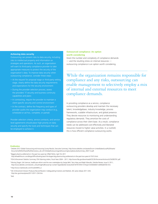#### **Achieving data security**

Outsourcing can present risks to data security, including risks to intellectual property and information on strategies and operations. As such, an organization will want its third-party compliance provider to take appropriate measures to protect the security of the organization's data. To improve data security when outsourcing compliance, consider these steps:

- At the request for proposal stage or third-party vetting stage, clearly define the data security requirements and expectations for the security environment
- During the provider selection process, assess the providers' IT security and business continuity capabilities and plans
- In contracting, require the provider to maintain a client-specific security and control environment
- In the contract, define the frequency and types of provider audits the organization may conduct (e.g., scheduled or ad hoc, complete, or partial)

Provider selection criteria, service contracts, and servicelevel agreements should place high priority on data security and specify the tools and techniques that can be employed to achieve it.

#### **Outsourced compliance: An option worth considering**

Given the number and complexity of compliance demands — and the resulting stress on internal resources outsourcing compliance is an option worth considering.

While the organization remains responsible for compliance and any risks, outsourcing can enable management to selectively employ a mix of internal and external resources to meet compliance demands.

In providing compliance as a service, compliance outsourcing providers develop and maintain the necessary talent, knowledgebase, industry knowledge, process frameworks, scalable infrastructure, and global presence. They devote resources to monitoring and understanding regulatory demands. They amortize the costs of compliance across their client base. As a result, compliance needs can be addressed cost-effectively and liberated resources moved to higher value activities. In a nutshell, this is how efficient compliance outsourcing works.

#### **Endnotes**

1 Deloitte 2012 Global Outsourcing and Insourcing Survey Results, Executive Summary; http://www.deloitte.com/assets/Dcom-UnitedStates/Local%20Assets/ Documents/IMOs/Shared%20Services/us\_sdt\_2012GlobalOutsourcingandInsourcingSurveyExecutiveSummary\_050112.pdf.

2 Biggest pharma settlements in the past two years by Cliffprf Mintz, April 18, 2011

http://ehealthforum.com/blogs/cliffmz/looking-back-the-largest-big-pharma-drug-settlements-in-the-past-two-years-b17615.html.

3 FDA Enforcement Statistics Summary, FDA Warning Letters, Fiscal Years 2004 – 2011, http://www.fda.gov/downloads/ICECI/EnforcementActions/UCM285781.pdf.

4 Moving Target: Life Sciences, healthcare reform and the new marketplace by Sanjay Behl, Terry Hisey and Ralph Marcello, Deloitte Review, Issue 9, 2011; http://www.deloitte.com/view/en\_US/us/Insights/Browse-by-Content-Type/deloitte-review/020187972f541310VgnVCM3000001c56f00aRCRD.htm.

5 http://www.marketswiki.com/mwiki/MiFID\_II.

<sup>6</sup> SEC Enforcement Division Produces Record Results in Safeguarding Investors and Markets, SEC press release 2011-243; http://sec.gov/news/press/2011/2011-234.htm.

7 Ibid.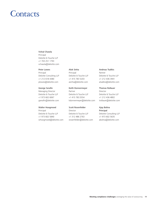### **Contacts**

#### Vishal Chawla

Principal Deloitte & Touche LLP +1 703 251 1793 vchawla@deloitte.com

Peter Lowes Principal Deloitte Consulting LLP +1 212 618 4380 plowes@deloitte.com

#### George Serafin

Managing Director Deloitte & Touche LLP +1 973 602 6067 gserafin@deloitte.com

#### Walter Hoogmoed

Principal Deloitte & Touche LLP +1 973 602 5840 whoogmoed@deloitte.com

#### Alok Sinha

Principal Deloitte & Touche LLP +1 415 783 5203 asinha@deloitte.com

#### Keith Donnermeyer

Partner Deloitte & Touche LLP +1 415 783.5554 kdonnermeyer@deloitte.com

#### Scott Rosenfelder

Director Deloitte & Touche LLP +1 312 486 2763 srosenfelder@deloitte.com

#### Andreas Tsalikis Partner Deloitte & Touche LLP +1 212 436 3941 atsalikis@deloitte.com

Thomas Rollauer Director Deloitte & Touche LLP +1 212 436 4802 trollauer@deloitte.com

#### Ajay Bolina

Principal Deloitte Consulting LLP +1 973 602 5635 abolina@deloitte.com